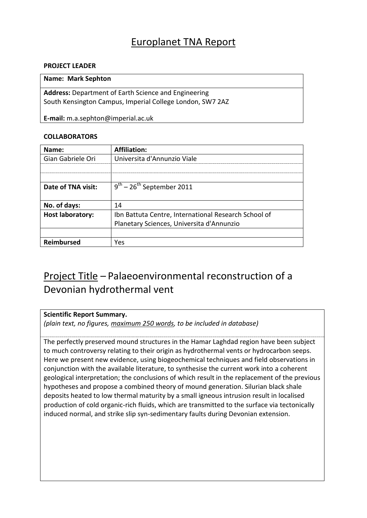### Europlanet TNA Report

### **PROJECT LEADER**

#### **Name: Mark Sephton**

**Address:** Department of Earth Science and Engineering South Kensington Campus, Imperial College London, SW7 2AZ

**E-mail:** m.a.sephton@imperial.ac.uk

### **COLLABORATORS**

| Name:                   | <b>Affiliation:</b>                                  |
|-------------------------|------------------------------------------------------|
| Gian Gabriele Ori       | Universita d'Annunzio Viale                          |
|                         |                                                      |
|                         |                                                      |
| Date of TNA visit:      | $9^{th}$ – 26 <sup>th</sup> September 2011           |
|                         |                                                      |
| No. of days:            | 14                                                   |
| <b>Host laboratory:</b> | Ibn Battuta Centre, International Research School of |
|                         | Planetary Sciences, Universita d'Annunzio            |
|                         |                                                      |
| Reimbursed              | Yes                                                  |

## Project Title – Palaeoenvironmental reconstruction of a Devonian hydrothermal vent

### **Scientific Report Summary.**

*(plain text, no figures, maximum 250 words, to be included in database)*

The perfectly preserved mound structures in the Hamar Laghdad region have been subject to much controversy relating to their origin as hydrothermal vents or hydrocarbon seeps. Here we present new evidence, using biogeochemical techniques and field observations in conjunction with the available literature, to synthesise the current work into a coherent geological interpretation; the conclusions of which result in the replacement of the previous hypotheses and propose a combined theory of mound generation. Silurian black shale deposits heated to low thermal maturity by a small igneous intrusion result in localised production of cold organic-rich fluids, which are transmitted to the surface via tectonically induced normal, and strike slip syn-sedimentary faults during Devonian extension.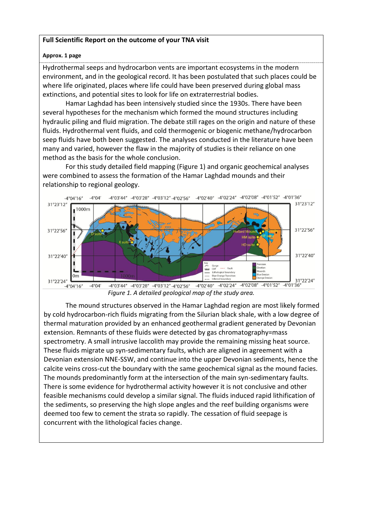### **Full Scientific Report on the outcome of your TNA visit**

### **Approx. 1 page**

Hydrothermal seeps and hydrocarbon vents are important ecosystems in the modern environment, and in the geological record. It has been postulated that such places could be where life originated, places where life could have been preserved during global mass extinctions, and potential sites to look for life on extraterrestrial bodies.

Hamar Laghdad has been intensively studied since the 1930s. There have been several hypotheses for the mechanism which formed the mound structures including hydraulic piling and fluid migration. The debate still rages on the origin and nature of these fluids. Hydrothermal vent fluids, and cold thermogenic or biogenic methane/hydrocarbon seep fluids have both been suggested. The analyses conducted in the literature have been many and varied, however the flaw in the majority of studies is their reliance on one method as the basis for the whole conclusion.

For this study detailed field mapping (Figure 1) and organic geochemical analyses were combined to assess the formation of the Hamar Laghdad mounds and their relationship to regional geology.



*Figure 1. A detailed geological map of the study area.*

The mound structures observed in the Hamar Laghdad region are most likely formed by cold hydrocarbon-rich fluids migrating from the Silurian black shale, with a low degree of thermal maturation provided by an enhanced geothermal gradient generated by Devonian extension. Remnants of these fluids were detected by gas chromatography=mass spectrometry. A small intrusive laccolith may provide the remaining missing heat source. These fluids migrate up syn-sedimentary faults, which are aligned in agreement with a Devonian extension NNE-SSW, and continue into the upper Devonian sediments, hence the calcite veins cross-cut the boundary with the same geochemical signal as the mound facies. The mounds predominantly form at the intersection of the main syn-sedimentary faults. There is some evidence for hydrothermal activity however it is not conclusive and other feasible mechanisms could develop a similar signal. The fluids induced rapid lithification of the sediments, so preserving the high slope angles and the reef building organisms were deemed too few to cement the strata so rapidly. The cessation of fluid seepage is concurrent with the lithological facies change.